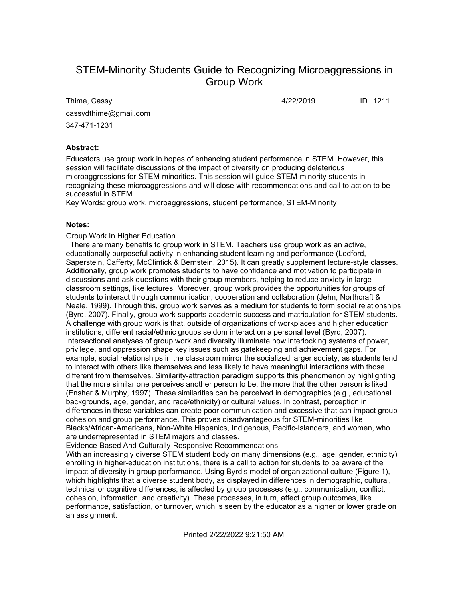## STEM-Minority Students Guide to Recognizing Microaggressions in Group Work

4/22/2019

ID 1211

Thime, Cassy cassydthime@gmail.com 347-471-1231

## **Abstract:**

Educators use group work in hopes of enhancing student performance in STEM. However, this session will facilitate discussions of the impact of diversity on producing deleterious microaggressions for STEM-minorities. This session will guide STEM-minority students in recognizing these microaggressions and will close with recommendations and call to action to be successful in STEM.

Key Words: group work, microaggressions, student performance, STEM-Minority

## **Notes:**

Group Work In Higher Education

 There are many benefits to group work in STEM. Teachers use group work as an active, educationally purposeful activity in enhancing student learning and performance (Ledford, Saperstein, Cafferty, McClintick & Bernstein, 2015). It can greatly supplement lecture-style classes. Additionally, group work promotes students to have confidence and motivation to participate in discussions and ask questions with their group members, helping to reduce anxiety in large classroom settings, like lectures. Moreover, group work provides the opportunities for groups of students to interact through communication, cooperation and collaboration (Jehn, Northcraft & Neale, 1999). Through this, group work serves as a medium for students to form social relationships (Byrd, 2007). Finally, group work supports academic success and matriculation for STEM students. A challenge with group work is that, outside of organizations of workplaces and higher education institutions, different racial/ethnic groups seldom interact on a personal level (Byrd, 2007). Intersectional analyses of group work and diversity illuminate how interlocking systems of power, privilege, and oppression shape key issues such as gatekeeping and achievement gaps. For example, social relationships in the classroom mirror the socialized larger society, as students tend to interact with others like themselves and less likely to have meaningful interactions with those different from themselves. Similarity-attraction paradigm supports this phenomenon by highlighting that the more similar one perceives another person to be, the more that the other person is liked (Ensher & Murphy, 1997). These similarities can be perceived in demographics (e.g., educational backgrounds, age, gender, and race/ethnicity) or cultural values. In contrast, perception in differences in these variables can create poor communication and excessive that can impact group cohesion and group performance. This proves disadvantageous for STEM-minorities like Blacks/African-Americans, Non-White Hispanics, Indigenous, Pacific-Islanders, and women, who are underrepresented in STEM majors and classes.

Evidence-Based And Culturally-Responsive Recommendations

With an increasingly diverse STEM student body on many dimensions (e.g., age, gender, ethnicity) enrolling in higher-education institutions, there is a call to action for students to be aware of the impact of diversity in group performance. Using Byrd's model of organizational culture (Figure 1), which highlights that a diverse student body, as displayed in differences in demographic, cultural, technical or cognitive differences, is affected by group processes (e.g., communication, conflict, cohesion, information, and creativity). These processes, in turn, affect group outcomes, like performance, satisfaction, or turnover, which is seen by the educator as a higher or lower grade on an assignment.

Printed 2/22/2022 9:21:50 AM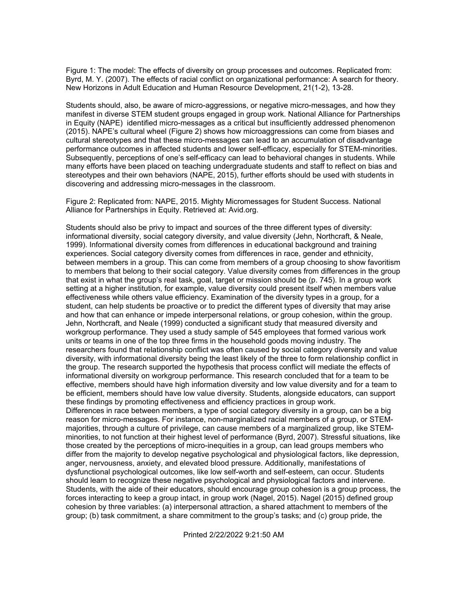Figure 1: The model: The effects of diversity on group processes and outcomes. Replicated from: Byrd, M. Y. (2007). The effects of racial conflict on organizational performance: A search for theory. New Horizons in Adult Education and Human Resource Development, 21(1-2), 13-28.

Students should, also, be aware of micro-aggressions, or negative micro-messages, and how they manifest in diverse STEM student groups engaged in group work. National Alliance for Partnerships in Equity (NAPE) identified micro-messages as a critical but insufficiently addressed phenomenon (2015). NAPE's cultural wheel (Figure 2) shows how microaggressions can come from biases and cultural stereotypes and that these micro-messages can lead to an accumulation of disadvantage performance outcomes in affected students and lower self-efficacy, especially for STEM-minorities. Subsequently, perceptions of one's self-efficacy can lead to behavioral changes in students. While many efforts have been placed on teaching undergraduate students and staff to reflect on bias and stereotypes and their own behaviors (NAPE, 2015), further efforts should be used with students in discovering and addressing micro-messages in the classroom.

Figure 2: Replicated from: NAPE, 2015. Mighty Micromessages for Student Success. National Alliance for Partnerships in Equity. Retrieved at: Avid.org.

Students should also be privy to impact and sources of the three different types of diversity: informational diversity, social category diversity, and value diversity (Jehn, Northcraft, & Neale, 1999). Informational diversity comes from differences in educational background and training experiences. Social category diversity comes from differences in race, gender and ethnicity, between members in a group. This can come from members of a group choosing to show favoritism to members that belong to their social category. Value diversity comes from differences in the group that exist in what the group's real task, goal, target or mission should be (p. 745). In a group work setting at a higher institution, for example, value diversity could present itself when members value effectiveness while others value efficiency. Examination of the diversity types in a group, for a student, can help students be proactive or to predict the different types of diversity that may arise and how that can enhance or impede interpersonal relations, or group cohesion, within the group. Jehn, Northcraft, and Neale (1999) conducted a significant study that measured diversity and workgroup performance. They used a study sample of 545 employees that formed various work units or teams in one of the top three firms in the household goods moving industry. The researchers found that relationship conflict was often caused by social category diversity and value diversity, with informational diversity being the least likely of the three to form relationship conflict in the group. The research supported the hypothesis that process conflict will mediate the effects of informational diversity on workgroup performance. This research concluded that for a team to be effective, members should have high information diversity and low value diversity and for a team to be efficient, members should have low value diversity. Students, alongside educators, can support these findings by promoting effectiveness and efficiency practices in group work. Differences in race between members, a type of social category diversity in a group, can be a big reason for micro-messages. For instance, non-marginalized racial members of a group, or STEMmajorities, through a culture of privilege, can cause members of a marginalized group, like STEMminorities, to not function at their highest level of performance (Byrd, 2007). Stressful situations, like those created by the perceptions of micro-inequities in a group, can lead groups members who differ from the majority to develop negative psychological and physiological factors, like depression, anger, nervousness, anxiety, and elevated blood pressure. Additionally, manifestations of dysfunctional psychological outcomes, like low self-worth and self-esteem, can occur. Students should learn to recognize these negative psychological and physiological factors and intervene. Students, with the aide of their educators, should encourage group cohesion is a group process, the forces interacting to keep a group intact, in group work (Nagel, 2015). Nagel (2015) defined group cohesion by three variables: (a) interpersonal attraction, a shared attachment to members of the group; (b) task commitment, a share commitment to the group's tasks; and (c) group pride, the

Printed 2/22/2022 9:21:50 AM